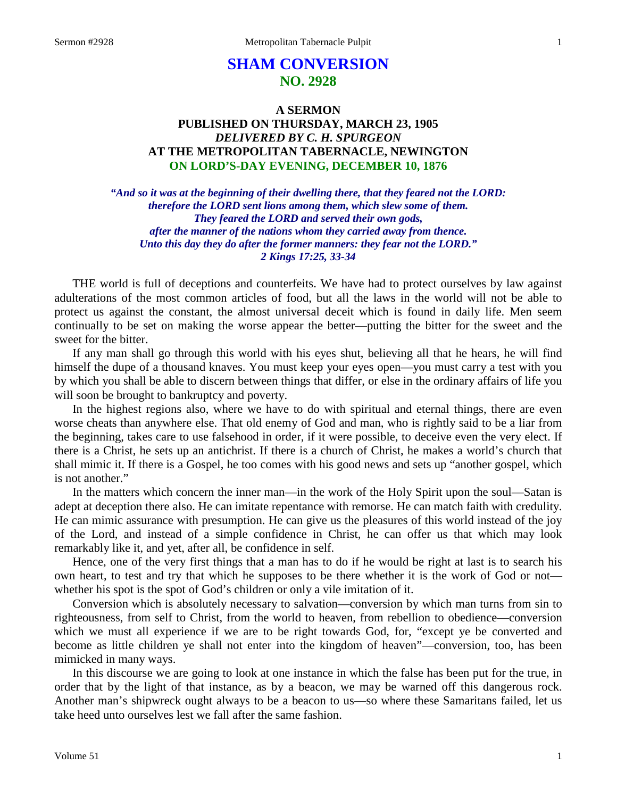# **SHAM CONVERSION NO. 2928**

## **A SERMON PUBLISHED ON THURSDAY, MARCH 23, 1905** *DELIVERED BY C. H. SPURGEON* **AT THE METROPOLITAN TABERNACLE, NEWINGTON ON LORD'S-DAY EVENING, DECEMBER 10, 1876**

*"And so it was at the beginning of their dwelling there, that they feared not the LORD: therefore the LORD sent lions among them, which slew some of them. They feared the LORD and served their own gods, after the manner of the nations whom they carried away from thence. Unto this day they do after the former manners: they fear not the LORD." 2 Kings 17:25, 33-34*

THE world is full of deceptions and counterfeits. We have had to protect ourselves by law against adulterations of the most common articles of food, but all the laws in the world will not be able to protect us against the constant, the almost universal deceit which is found in daily life. Men seem continually to be set on making the worse appear the better—putting the bitter for the sweet and the sweet for the bitter.

If any man shall go through this world with his eyes shut, believing all that he hears, he will find himself the dupe of a thousand knaves. You must keep your eyes open—you must carry a test with you by which you shall be able to discern between things that differ, or else in the ordinary affairs of life you will soon be brought to bankruptcy and poverty.

In the highest regions also, where we have to do with spiritual and eternal things, there are even worse cheats than anywhere else. That old enemy of God and man, who is rightly said to be a liar from the beginning, takes care to use falsehood in order, if it were possible, to deceive even the very elect. If there is a Christ, he sets up an antichrist. If there is a church of Christ, he makes a world's church that shall mimic it. If there is a Gospel, he too comes with his good news and sets up "another gospel, which is not another."

In the matters which concern the inner man—in the work of the Holy Spirit upon the soul—Satan is adept at deception there also. He can imitate repentance with remorse. He can match faith with credulity. He can mimic assurance with presumption. He can give us the pleasures of this world instead of the joy of the Lord, and instead of a simple confidence in Christ, he can offer us that which may look remarkably like it, and yet, after all, be confidence in self.

Hence, one of the very first things that a man has to do if he would be right at last is to search his own heart, to test and try that which he supposes to be there whether it is the work of God or not whether his spot is the spot of God's children or only a vile imitation of it.

Conversion which is absolutely necessary to salvation—conversion by which man turns from sin to righteousness, from self to Christ, from the world to heaven, from rebellion to obedience—conversion which we must all experience if we are to be right towards God, for, "except ye be converted and become as little children ye shall not enter into the kingdom of heaven"—conversion, too, has been mimicked in many ways.

In this discourse we are going to look at one instance in which the false has been put for the true, in order that by the light of that instance, as by a beacon, we may be warned off this dangerous rock. Another man's shipwreck ought always to be a beacon to us—so where these Samaritans failed, let us take heed unto ourselves lest we fall after the same fashion.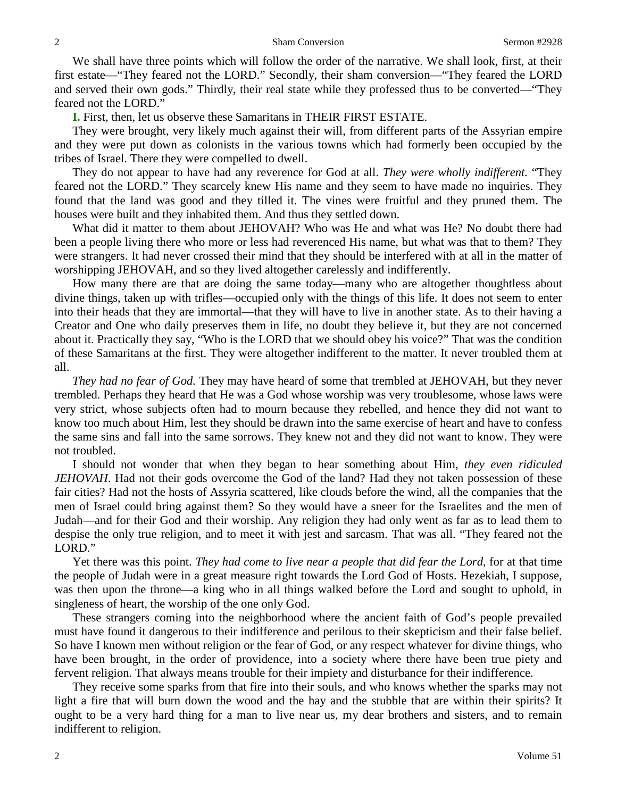We shall have three points which will follow the order of the narrative. We shall look, first, at their first estate—"They feared not the LORD." Secondly, their sham conversion—"They feared the LORD and served their own gods." Thirdly, their real state while they professed thus to be converted—"They feared not the LORD."

**I.** First, then, let us observe these Samaritans in THEIR FIRST ESTATE.

They were brought, very likely much against their will, from different parts of the Assyrian empire and they were put down as colonists in the various towns which had formerly been occupied by the tribes of Israel. There they were compelled to dwell.

They do not appear to have had any reverence for God at all. *They were wholly indifferent.* "They feared not the LORD." They scarcely knew His name and they seem to have made no inquiries. They found that the land was good and they tilled it. The vines were fruitful and they pruned them. The houses were built and they inhabited them. And thus they settled down.

What did it matter to them about JEHOVAH? Who was He and what was He? No doubt there had been a people living there who more or less had reverenced His name, but what was that to them? They were strangers. It had never crossed their mind that they should be interfered with at all in the matter of worshipping JEHOVAH, and so they lived altogether carelessly and indifferently.

How many there are that are doing the same today—many who are altogether thoughtless about divine things, taken up with trifles—occupied only with the things of this life. It does not seem to enter into their heads that they are immortal—that they will have to live in another state. As to their having a Creator and One who daily preserves them in life, no doubt they believe it, but they are not concerned about it. Practically they say, "Who is the LORD that we should obey his voice?" That was the condition of these Samaritans at the first. They were altogether indifferent to the matter. It never troubled them at all.

*They had no fear of God.* They may have heard of some that trembled at JEHOVAH, but they never trembled. Perhaps they heard that He was a God whose worship was very troublesome, whose laws were very strict, whose subjects often had to mourn because they rebelled, and hence they did not want to know too much about Him, lest they should be drawn into the same exercise of heart and have to confess the same sins and fall into the same sorrows. They knew not and they did not want to know. They were not troubled.

I should not wonder that when they began to hear something about Him, *they even ridiculed JEHOVAH*. Had not their gods overcome the God of the land? Had they not taken possession of these fair cities? Had not the hosts of Assyria scattered, like clouds before the wind, all the companies that the men of Israel could bring against them? So they would have a sneer for the Israelites and the men of Judah—and for their God and their worship. Any religion they had only went as far as to lead them to despise the only true religion, and to meet it with jest and sarcasm. That was all. "They feared not the LORD."

Yet there was this point. *They had come to live near a people that did fear the Lord*, for at that time the people of Judah were in a great measure right towards the Lord God of Hosts. Hezekiah, I suppose, was then upon the throne—a king who in all things walked before the Lord and sought to uphold, in singleness of heart, the worship of the one only God.

These strangers coming into the neighborhood where the ancient faith of God's people prevailed must have found it dangerous to their indifference and perilous to their skepticism and their false belief. So have I known men without religion or the fear of God, or any respect whatever for divine things, who have been brought, in the order of providence, into a society where there have been true piety and fervent religion. That always means trouble for their impiety and disturbance for their indifference.

They receive some sparks from that fire into their souls, and who knows whether the sparks may not light a fire that will burn down the wood and the hay and the stubble that are within their spirits? It ought to be a very hard thing for a man to live near us, my dear brothers and sisters, and to remain indifferent to religion.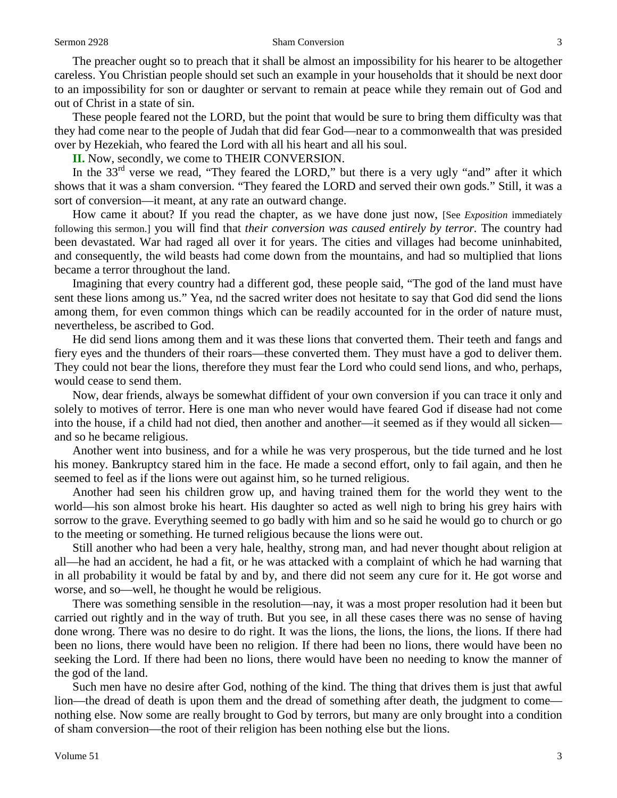The preacher ought so to preach that it shall be almost an impossibility for his hearer to be altogether careless. You Christian people should set such an example in your households that it should be next door to an impossibility for son or daughter or servant to remain at peace while they remain out of God and out of Christ in a state of sin.

These people feared not the LORD, but the point that would be sure to bring them difficulty was that they had come near to the people of Judah that did fear God—near to a commonwealth that was presided over by Hezekiah, who feared the Lord with all his heart and all his soul.

**II.** Now, secondly, we come to THEIR CONVERSION.

In the  $33<sup>rd</sup>$  verse we read, "They feared the LORD," but there is a very ugly "and" after it which shows that it was a sham conversion. "They feared the LORD and served their own gods." Still, it was a sort of conversion—it meant, at any rate an outward change.

How came it about? If you read the chapter, as we have done just now, [See *Exposition* immediately following this sermon.] you will find that *their conversion was caused entirely by terror*. The country had been devastated. War had raged all over it for years. The cities and villages had become uninhabited, and consequently, the wild beasts had come down from the mountains, and had so multiplied that lions became a terror throughout the land.

Imagining that every country had a different god, these people said, "The god of the land must have sent these lions among us." Yea, nd the sacred writer does not hesitate to say that God did send the lions among them, for even common things which can be readily accounted for in the order of nature must, nevertheless, be ascribed to God.

He did send lions among them and it was these lions that converted them. Their teeth and fangs and fiery eyes and the thunders of their roars—these converted them. They must have a god to deliver them. They could not bear the lions, therefore they must fear the Lord who could send lions, and who, perhaps, would cease to send them.

Now, dear friends, always be somewhat diffident of your own conversion if you can trace it only and solely to motives of terror. Here is one man who never would have feared God if disease had not come into the house, if a child had not died, then another and another—it seemed as if they would all sicken and so he became religious.

Another went into business, and for a while he was very prosperous, but the tide turned and he lost his money. Bankruptcy stared him in the face. He made a second effort, only to fail again, and then he seemed to feel as if the lions were out against him, so he turned religious.

Another had seen his children grow up, and having trained them for the world they went to the world—his son almost broke his heart. His daughter so acted as well nigh to bring his grey hairs with sorrow to the grave. Everything seemed to go badly with him and so he said he would go to church or go to the meeting or something. He turned religious because the lions were out.

Still another who had been a very hale, healthy, strong man, and had never thought about religion at all—he had an accident, he had a fit, or he was attacked with a complaint of which he had warning that in all probability it would be fatal by and by, and there did not seem any cure for it. He got worse and worse, and so—well, he thought he would be religious.

There was something sensible in the resolution—nay, it was a most proper resolution had it been but carried out rightly and in the way of truth. But you see, in all these cases there was no sense of having done wrong. There was no desire to do right. It was the lions, the lions, the lions, the lions. If there had been no lions, there would have been no religion. If there had been no lions, there would have been no seeking the Lord. If there had been no lions, there would have been no needing to know the manner of the god of the land.

Such men have no desire after God, nothing of the kind. The thing that drives them is just that awful lion—the dread of death is upon them and the dread of something after death, the judgment to come nothing else. Now some are really brought to God by terrors, but many are only brought into a condition of sham conversion—the root of their religion has been nothing else but the lions.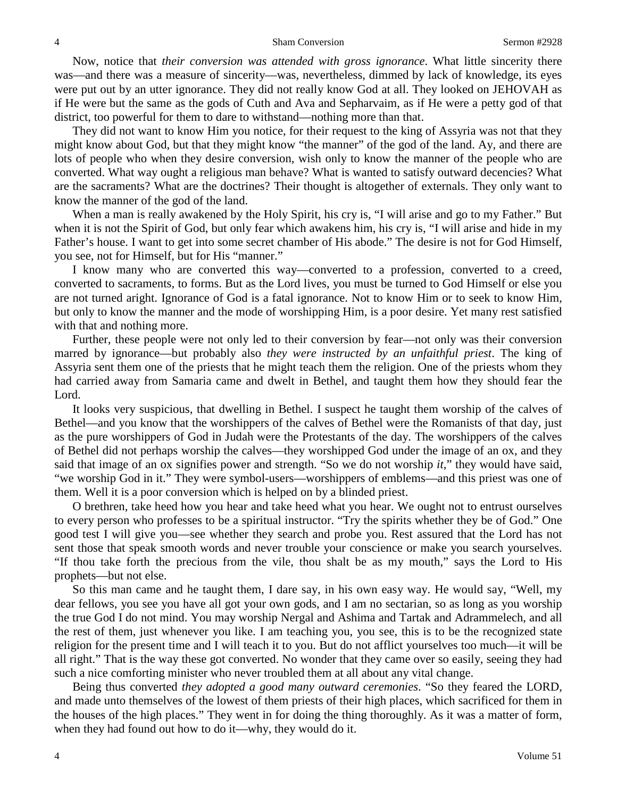Now, notice that *their conversion was attended with gross ignorance*. What little sincerity there was—and there was a measure of sincerity—was, nevertheless, dimmed by lack of knowledge, its eyes were put out by an utter ignorance. They did not really know God at all. They looked on JEHOVAH as if He were but the same as the gods of Cuth and Ava and Sepharvaim, as if He were a petty god of that district, too powerful for them to dare to withstand—nothing more than that.

They did not want to know Him you notice, for their request to the king of Assyria was not that they might know about God, but that they might know "the manner" of the god of the land. Ay, and there are lots of people who when they desire conversion, wish only to know the manner of the people who are converted. What way ought a religious man behave? What is wanted to satisfy outward decencies? What are the sacraments? What are the doctrines? Their thought is altogether of externals. They only want to know the manner of the god of the land.

When a man is really awakened by the Holy Spirit, his cry is, "I will arise and go to my Father." But when it is not the Spirit of God, but only fear which awakens him, his cry is, "I will arise and hide in my Father's house. I want to get into some secret chamber of His abode." The desire is not for God Himself, you see, not for Himself, but for His "manner."

I know many who are converted this way—converted to a profession, converted to a creed, converted to sacraments, to forms. But as the Lord lives, you must be turned to God Himself or else you are not turned aright. Ignorance of God is a fatal ignorance. Not to know Him or to seek to know Him, but only to know the manner and the mode of worshipping Him, is a poor desire. Yet many rest satisfied with that and nothing more.

Further, these people were not only led to their conversion by fear—not only was their conversion marred by ignorance—but probably also *they were instructed by an unfaithful priest*. The king of Assyria sent them one of the priests that he might teach them the religion. One of the priests whom they had carried away from Samaria came and dwelt in Bethel, and taught them how they should fear the Lord.

It looks very suspicious, that dwelling in Bethel. I suspect he taught them worship of the calves of Bethel—and you know that the worshippers of the calves of Bethel were the Romanists of that day, just as the pure worshippers of God in Judah were the Protestants of the day. The worshippers of the calves of Bethel did not perhaps worship the calves—they worshipped God under the image of an ox, and they said that image of an ox signifies power and strength. "So we do not worship *it*," they would have said, "we worship God in it." They were symbol-users—worshippers of emblems—and this priest was one of them. Well it is a poor conversion which is helped on by a blinded priest.

O brethren, take heed how you hear and take heed what you hear. We ought not to entrust ourselves to every person who professes to be a spiritual instructor. "Try the spirits whether they be of God." One good test I will give you—see whether they search and probe you. Rest assured that the Lord has not sent those that speak smooth words and never trouble your conscience or make you search yourselves. "If thou take forth the precious from the vile, thou shalt be as my mouth," says the Lord to His prophets—but not else.

So this man came and he taught them, I dare say, in his own easy way. He would say, "Well, my dear fellows, you see you have all got your own gods, and I am no sectarian, so as long as you worship the true God I do not mind. You may worship Nergal and Ashima and Tartak and Adrammelech, and all the rest of them, just whenever you like. I am teaching you, you see, this is to be the recognized state religion for the present time and I will teach it to you. But do not afflict yourselves too much—it will be all right." That is the way these got converted. No wonder that they came over so easily, seeing they had such a nice comforting minister who never troubled them at all about any vital change.

Being thus converted *they adopted a good many outward ceremonies*. "So they feared the LORD, and made unto themselves of the lowest of them priests of their high places, which sacrificed for them in the houses of the high places." They went in for doing the thing thoroughly. As it was a matter of form, when they had found out how to do it—why, they would do it.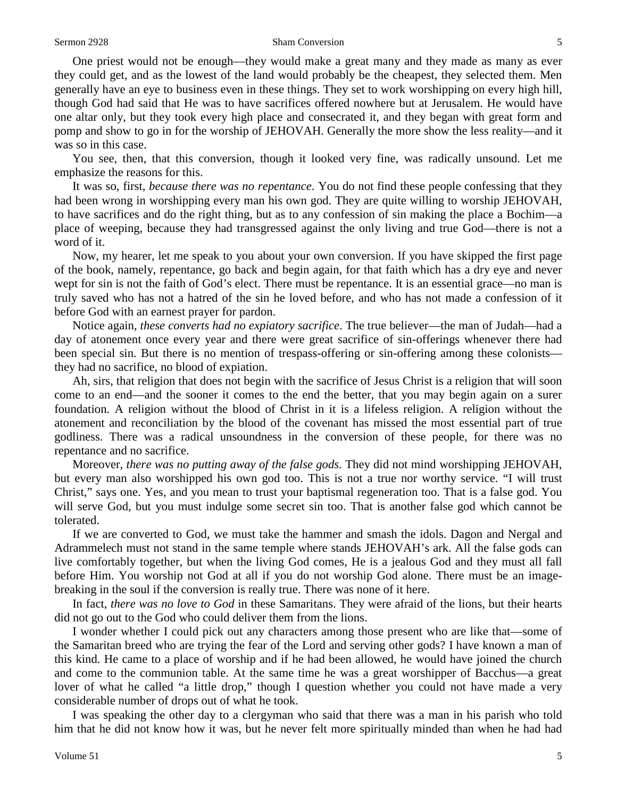One priest would not be enough—they would make a great many and they made as many as ever they could get, and as the lowest of the land would probably be the cheapest, they selected them. Men generally have an eye to business even in these things. They set to work worshipping on every high hill, though God had said that He was to have sacrifices offered nowhere but at Jerusalem. He would have one altar only, but they took every high place and consecrated it, and they began with great form and pomp and show to go in for the worship of JEHOVAH. Generally the more show the less reality—and it was so in this case.

You see, then, that this conversion, though it looked very fine, was radically unsound. Let me emphasize the reasons for this.

It was so, first, *because there was no repentance*. You do not find these people confessing that they had been wrong in worshipping every man his own god. They are quite willing to worship JEHOVAH, to have sacrifices and do the right thing, but as to any confession of sin making the place a Bochim—a place of weeping, because they had transgressed against the only living and true God—there is not a word of it.

Now, my hearer, let me speak to you about your own conversion. If you have skipped the first page of the book, namely, repentance, go back and begin again, for that faith which has a dry eye and never wept for sin is not the faith of God's elect. There must be repentance. It is an essential grace—no man is truly saved who has not a hatred of the sin he loved before, and who has not made a confession of it before God with an earnest prayer for pardon.

Notice again, *these converts had no expiatory sacrifice*. The true believer—the man of Judah—had a day of atonement once every year and there were great sacrifice of sin-offerings whenever there had been special sin. But there is no mention of trespass-offering or sin-offering among these colonists they had no sacrifice, no blood of expiation.

Ah, sirs, that religion that does not begin with the sacrifice of Jesus Christ is a religion that will soon come to an end—and the sooner it comes to the end the better, that you may begin again on a surer foundation. A religion without the blood of Christ in it is a lifeless religion. A religion without the atonement and reconciliation by the blood of the covenant has missed the most essential part of true godliness. There was a radical unsoundness in the conversion of these people, for there was no repentance and no sacrifice.

Moreover, *there was no putting away of the false gods.* They did not mind worshipping JEHOVAH, but every man also worshipped his own god too. This is not a true nor worthy service. "I will trust Christ," says one. Yes, and you mean to trust your baptismal regeneration too. That is a false god. You will serve God, but you must indulge some secret sin too. That is another false god which cannot be tolerated.

If we are converted to God, we must take the hammer and smash the idols. Dagon and Nergal and Adrammelech must not stand in the same temple where stands JEHOVAH's ark. All the false gods can live comfortably together, but when the living God comes, He is a jealous God and they must all fall before Him. You worship not God at all if you do not worship God alone. There must be an imagebreaking in the soul if the conversion is really true. There was none of it here.

In fact, *there was no love to God* in these Samaritans. They were afraid of the lions, but their hearts did not go out to the God who could deliver them from the lions.

I wonder whether I could pick out any characters among those present who are like that—some of the Samaritan breed who are trying the fear of the Lord and serving other gods? I have known a man of this kind. He came to a place of worship and if he had been allowed, he would have joined the church and come to the communion table. At the same time he was a great worshipper of Bacchus—a great lover of what he called "a little drop," though I question whether you could not have made a very considerable number of drops out of what he took.

I was speaking the other day to a clergyman who said that there was a man in his parish who told him that he did not know how it was, but he never felt more spiritually minded than when he had had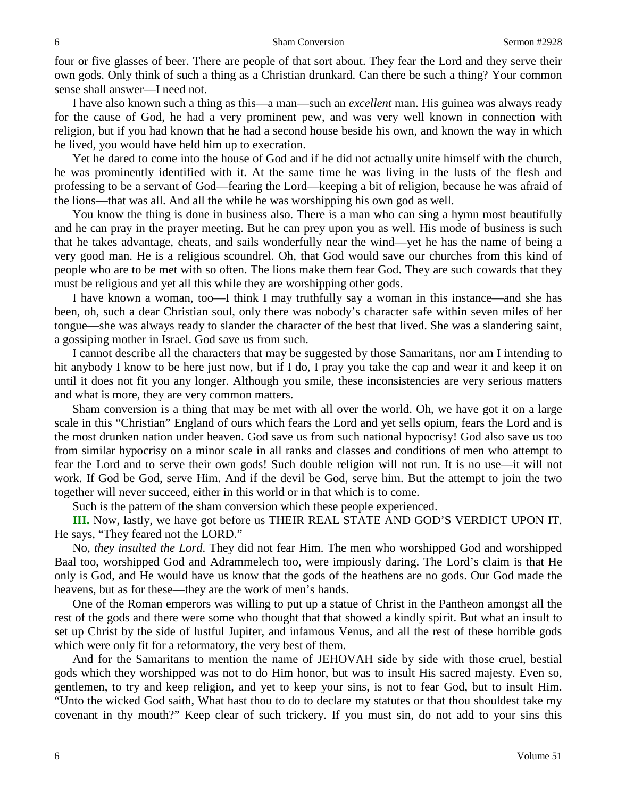four or five glasses of beer. There are people of that sort about. They fear the Lord and they serve their own gods. Only think of such a thing as a Christian drunkard. Can there be such a thing? Your common sense shall answer—I need not.

I have also known such a thing as this—a man—such an *excellent* man. His guinea was always ready for the cause of God, he had a very prominent pew, and was very well known in connection with religion, but if you had known that he had a second house beside his own, and known the way in which he lived, you would have held him up to execration.

Yet he dared to come into the house of God and if he did not actually unite himself with the church, he was prominently identified with it. At the same time he was living in the lusts of the flesh and professing to be a servant of God—fearing the Lord—keeping a bit of religion, because he was afraid of the lions—that was all. And all the while he was worshipping his own god as well.

You know the thing is done in business also. There is a man who can sing a hymn most beautifully and he can pray in the prayer meeting. But he can prey upon you as well. His mode of business is such that he takes advantage, cheats, and sails wonderfully near the wind—yet he has the name of being a very good man. He is a religious scoundrel. Oh, that God would save our churches from this kind of people who are to be met with so often. The lions make them fear God. They are such cowards that they must be religious and yet all this while they are worshipping other gods.

I have known a woman, too—I think I may truthfully say a woman in this instance—and she has been, oh, such a dear Christian soul, only there was nobody's character safe within seven miles of her tongue—she was always ready to slander the character of the best that lived. She was a slandering saint, a gossiping mother in Israel. God save us from such.

I cannot describe all the characters that may be suggested by those Samaritans, nor am I intending to hit anybody I know to be here just now, but if I do, I pray you take the cap and wear it and keep it on until it does not fit you any longer. Although you smile, these inconsistencies are very serious matters and what is more, they are very common matters.

Sham conversion is a thing that may be met with all over the world. Oh, we have got it on a large scale in this "Christian" England of ours which fears the Lord and yet sells opium, fears the Lord and is the most drunken nation under heaven. God save us from such national hypocrisy! God also save us too from similar hypocrisy on a minor scale in all ranks and classes and conditions of men who attempt to fear the Lord and to serve their own gods! Such double religion will not run. It is no use—it will not work. If God be God, serve Him. And if the devil be God, serve him. But the attempt to join the two together will never succeed, either in this world or in that which is to come.

Such is the pattern of the sham conversion which these people experienced.

**III.** Now, lastly, we have got before us THEIR REAL STATE AND GOD'S VERDICT UPON IT. He says, "They feared not the LORD."

No, *they insulted the Lord*. They did not fear Him. The men who worshipped God and worshipped Baal too, worshipped God and Adrammelech too, were impiously daring. The Lord's claim is that He only is God, and He would have us know that the gods of the heathens are no gods. Our God made the heavens, but as for these—they are the work of men's hands.

One of the Roman emperors was willing to put up a statue of Christ in the Pantheon amongst all the rest of the gods and there were some who thought that that showed a kindly spirit. But what an insult to set up Christ by the side of lustful Jupiter, and infamous Venus, and all the rest of these horrible gods which were only fit for a reformatory, the very best of them.

And for the Samaritans to mention the name of JEHOVAH side by side with those cruel, bestial gods which they worshipped was not to do Him honor, but was to insult His sacred majesty. Even so, gentlemen, to try and keep religion, and yet to keep your sins, is not to fear God, but to insult Him. "Unto the wicked God saith, What hast thou to do to declare my statutes or that thou shouldest take my covenant in thy mouth?" Keep clear of such trickery. If you must sin, do not add to your sins this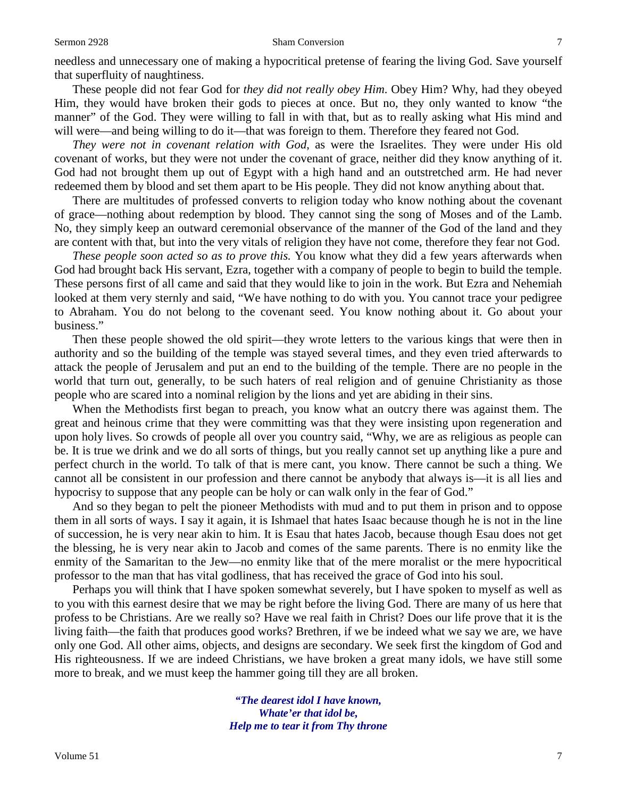needless and unnecessary one of making a hypocritical pretense of fearing the living God. Save yourself that superfluity of naughtiness.

These people did not fear God for *they did not really obey Him*. Obey Him? Why, had they obeyed Him, they would have broken their gods to pieces at once. But no, they only wanted to know "the manner" of the God. They were willing to fall in with that, but as to really asking what His mind and will were—and being willing to do it—that was foreign to them. Therefore they feared not God.

*They were not in covenant relation with God*, as were the Israelites. They were under His old covenant of works, but they were not under the covenant of grace, neither did they know anything of it. God had not brought them up out of Egypt with a high hand and an outstretched arm. He had never redeemed them by blood and set them apart to be His people. They did not know anything about that.

There are multitudes of professed converts to religion today who know nothing about the covenant of grace—nothing about redemption by blood. They cannot sing the song of Moses and of the Lamb. No, they simply keep an outward ceremonial observance of the manner of the God of the land and they are content with that, but into the very vitals of religion they have not come, therefore they fear not God.

*These people soon acted so as to prove this.* You know what they did a few years afterwards when God had brought back His servant, Ezra, together with a company of people to begin to build the temple. These persons first of all came and said that they would like to join in the work. But Ezra and Nehemiah looked at them very sternly and said, "We have nothing to do with you. You cannot trace your pedigree to Abraham. You do not belong to the covenant seed. You know nothing about it. Go about your business."

Then these people showed the old spirit—they wrote letters to the various kings that were then in authority and so the building of the temple was stayed several times, and they even tried afterwards to attack the people of Jerusalem and put an end to the building of the temple. There are no people in the world that turn out, generally, to be such haters of real religion and of genuine Christianity as those people who are scared into a nominal religion by the lions and yet are abiding in their sins.

When the Methodists first began to preach, you know what an outcry there was against them. The great and heinous crime that they were committing was that they were insisting upon regeneration and upon holy lives. So crowds of people all over you country said, "Why, we are as religious as people can be. It is true we drink and we do all sorts of things, but you really cannot set up anything like a pure and perfect church in the world. To talk of that is mere cant, you know. There cannot be such a thing. We cannot all be consistent in our profession and there cannot be anybody that always is—it is all lies and hypocrisy to suppose that any people can be holy or can walk only in the fear of God."

And so they began to pelt the pioneer Methodists with mud and to put them in prison and to oppose them in all sorts of ways. I say it again, it is Ishmael that hates Isaac because though he is not in the line of succession, he is very near akin to him. It is Esau that hates Jacob, because though Esau does not get the blessing, he is very near akin to Jacob and comes of the same parents. There is no enmity like the enmity of the Samaritan to the Jew—no enmity like that of the mere moralist or the mere hypocritical professor to the man that has vital godliness, that has received the grace of God into his soul.

Perhaps you will think that I have spoken somewhat severely, but I have spoken to myself as well as to you with this earnest desire that we may be right before the living God. There are many of us here that profess to be Christians. Are we really so? Have we real faith in Christ? Does our life prove that it is the living faith—the faith that produces good works? Brethren, if we be indeed what we say we are, we have only one God. All other aims, objects, and designs are secondary. We seek first the kingdom of God and His righteousness. If we are indeed Christians, we have broken a great many idols, we have still some more to break, and we must keep the hammer going till they are all broken.

> *"The dearest idol I have known, Whate'er that idol be, Help me to tear it from Thy throne*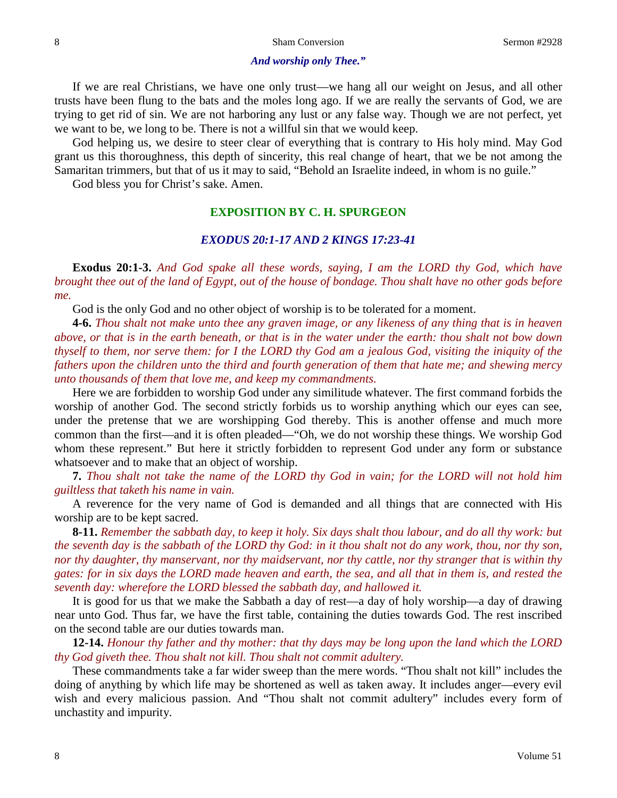## *And worship only Thee."*

If we are real Christians, we have one only trust—we hang all our weight on Jesus, and all other trusts have been flung to the bats and the moles long ago. If we are really the servants of God, we are trying to get rid of sin. We are not harboring any lust or any false way. Though we are not perfect, yet we want to be, we long to be. There is not a willful sin that we would keep.

God helping us, we desire to steer clear of everything that is contrary to His holy mind. May God grant us this thoroughness, this depth of sincerity, this real change of heart, that we be not among the Samaritan trimmers, but that of us it may to said, "Behold an Israelite indeed, in whom is no guile."

God bless you for Christ's sake. Amen.

## **EXPOSITION BY C. H. SPURGEON**

## *EXODUS 20:1-17 AND 2 KINGS 17:23-41*

**Exodus 20:1-3.** *And God spake all these words, saying, I am the LORD thy God, which have brought thee out of the land of Egypt, out of the house of bondage. Thou shalt have no other gods before me.*

God is the only God and no other object of worship is to be tolerated for a moment.

**4-6.** *Thou shalt not make unto thee any graven image, or any likeness of any thing that is in heaven above, or that is in the earth beneath, or that is in the water under the earth: thou shalt not bow down thyself to them, nor serve them: for I the LORD thy God am a jealous God, visiting the iniquity of the fathers upon the children unto the third and fourth generation of them that hate me; and shewing mercy unto thousands of them that love me, and keep my commandments.*

Here we are forbidden to worship God under any similitude whatever. The first command forbids the worship of another God. The second strictly forbids us to worship anything which our eyes can see, under the pretense that we are worshipping God thereby. This is another offense and much more common than the first—and it is often pleaded—"Oh, we do not worship these things. We worship God whom these represent." But here it strictly forbidden to represent God under any form or substance whatsoever and to make that an object of worship.

**7.** *Thou shalt not take the name of the LORD thy God in vain; for the LORD will not hold him guiltless that taketh his name in vain.*

A reverence for the very name of God is demanded and all things that are connected with His worship are to be kept sacred.

**8-11.** *Remember the sabbath day, to keep it holy. Six days shalt thou labour, and do all thy work: but the seventh day is the sabbath of the LORD thy God: in it thou shalt not do any work, thou, nor thy son, nor thy daughter, thy manservant, nor thy maidservant, nor thy cattle, nor thy stranger that is within thy gates: for in six days the LORD made heaven and earth, the sea, and all that in them is, and rested the seventh day: wherefore the LORD blessed the sabbath day, and hallowed it.*

It is good for us that we make the Sabbath a day of rest—a day of holy worship—a day of drawing near unto God. Thus far, we have the first table, containing the duties towards God. The rest inscribed on the second table are our duties towards man.

**12-14.** *Honour thy father and thy mother: that thy days may be long upon the land which the LORD thy God giveth thee. Thou shalt not kill. Thou shalt not commit adultery.*

These commandments take a far wider sweep than the mere words. "Thou shalt not kill" includes the doing of anything by which life may be shortened as well as taken away. It includes anger—every evil wish and every malicious passion. And "Thou shalt not commit adultery" includes every form of unchastity and impurity.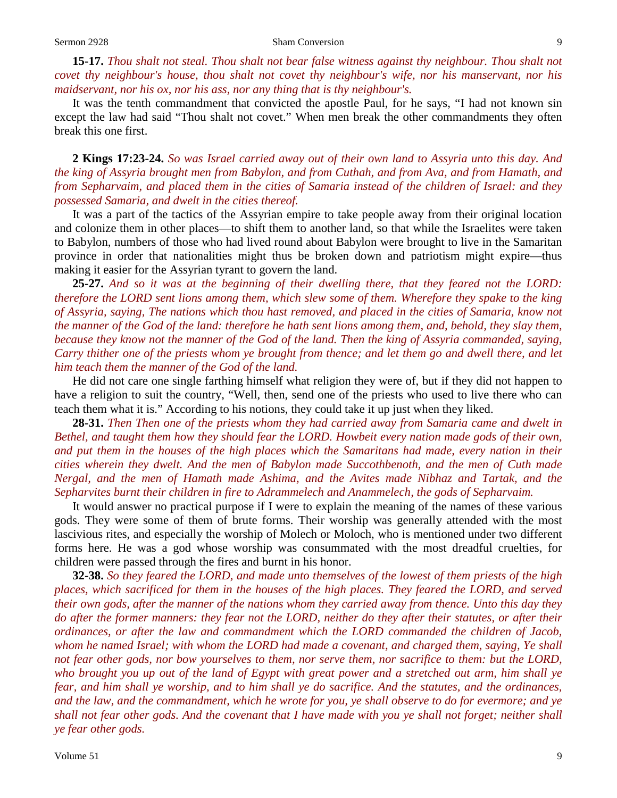**15-17.** *Thou shalt not steal. Thou shalt not bear false witness against thy neighbour. Thou shalt not covet thy neighbour's house, thou shalt not covet thy neighbour's wife, nor his manservant, nor his maidservant, nor his ox, nor his ass, nor any thing that is thy neighbour's.*

It was the tenth commandment that convicted the apostle Paul, for he says, "I had not known sin except the law had said "Thou shalt not covet." When men break the other commandments they often break this one first.

**2 Kings 17:23-24.** *So was Israel carried away out of their own land to Assyria unto this day. And the king of Assyria brought men from Babylon, and from Cuthah, and from Ava, and from Hamath, and from Sepharvaim, and placed them in the cities of Samaria instead of the children of Israel: and they possessed Samaria, and dwelt in the cities thereof.*

It was a part of the tactics of the Assyrian empire to take people away from their original location and colonize them in other places—to shift them to another land, so that while the Israelites were taken to Babylon, numbers of those who had lived round about Babylon were brought to live in the Samaritan province in order that nationalities might thus be broken down and patriotism might expire—thus making it easier for the Assyrian tyrant to govern the land.

**25-27.** *And so it was at the beginning of their dwelling there, that they feared not the LORD: therefore the LORD sent lions among them, which slew some of them. Wherefore they spake to the king of Assyria, saying, The nations which thou hast removed, and placed in the cities of Samaria, know not the manner of the God of the land: therefore he hath sent lions among them, and, behold, they slay them, because they know not the manner of the God of the land. Then the king of Assyria commanded, saying, Carry thither one of the priests whom ye brought from thence; and let them go and dwell there, and let him teach them the manner of the God of the land.*

He did not care one single farthing himself what religion they were of, but if they did not happen to have a religion to suit the country, "Well, then, send one of the priests who used to live there who can teach them what it is." According to his notions, they could take it up just when they liked.

**28-31.** *Then Then one of the priests whom they had carried away from Samaria came and dwelt in Bethel, and taught them how they should fear the LORD. Howbeit every nation made gods of their own, and put them in the houses of the high places which the Samaritans had made, every nation in their cities wherein they dwelt. And the men of Babylon made Succothbenoth, and the men of Cuth made Nergal, and the men of Hamath made Ashima, and the Avites made Nibhaz and Tartak, and the Sepharvites burnt their children in fire to Adrammelech and Anammelech, the gods of Sepharvaim.*

It would answer no practical purpose if I were to explain the meaning of the names of these various gods. They were some of them of brute forms. Their worship was generally attended with the most lascivious rites, and especially the worship of Molech or Moloch, who is mentioned under two different forms here. He was a god whose worship was consummated with the most dreadful cruelties, for children were passed through the fires and burnt in his honor.

**32-38.** *So they feared the LORD, and made unto themselves of the lowest of them priests of the high places, which sacrificed for them in the houses of the high places. They feared the LORD, and served their own gods, after the manner of the nations whom they carried away from thence. Unto this day they do after the former manners: they fear not the LORD, neither do they after their statutes, or after their ordinances, or after the law and commandment which the LORD commanded the children of Jacob, whom he named Israel; with whom the LORD had made a covenant, and charged them, saying, Ye shall not fear other gods, nor bow yourselves to them, nor serve them, nor sacrifice to them: but the LORD, who brought you up out of the land of Egypt with great power and a stretched out arm, him shall ye fear, and him shall ye worship, and to him shall ye do sacrifice. And the statutes, and the ordinances, and the law, and the commandment, which he wrote for you, ye shall observe to do for evermore; and ye shall not fear other gods. And the covenant that I have made with you ye shall not forget; neither shall ye fear other gods.*